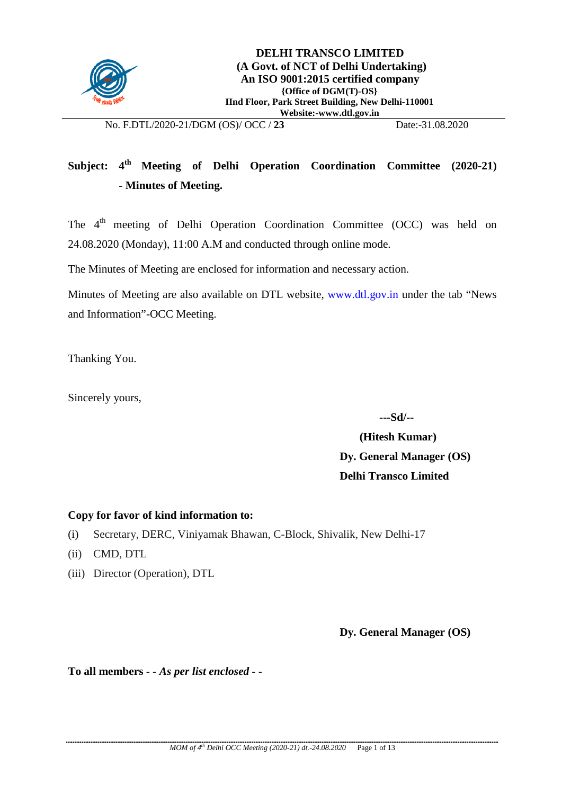

## **Subject: 4th Meeting of Delhi Operation Coordination Committee (2020-21) - Minutes of Meeting.**

The 4<sup>th</sup> meeting of Delhi Operation Coordination Committee (OCC) was held on 24.08.2020 (Monday), 11:00 A.M and conducted through online mode.

The Minutes of Meeting are enclosed for information and necessary action.

Minutes of Meeting are also available on DTL website, [www.dtl.gov.in](http://www.dtl.gov.in/) under the tab "News" and Information"-OCC Meeting.

Thanking You.

Sincerely yours,

 **---Sd/--**

 **(Hitesh Kumar) Dy. General Manager (OS) Delhi Transco Limited**

#### **Copy for favor of kind information to:**

- (i) Secretary, DERC, Viniyamak Bhawan, C-Block, Shivalik, New Delhi-17
- (ii) CMD, DTL
- (iii) Director (Operation), DTL

**Dy. General Manager (OS)**

**To all members** *- - As per list enclosed - -*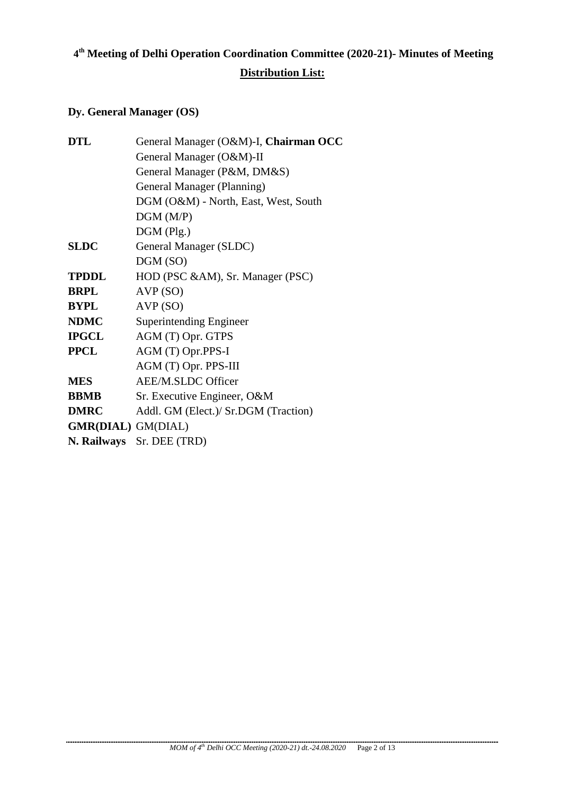# **4th Meeting of Delhi Operation Coordination Committee (2020-21)- Minutes of Meeting**

### **Distribution List:**

### **Dy. General Manager (OS)**

| <b>DTL</b>                | General Manager (O&M)-I, Chairman OCC |
|---------------------------|---------------------------------------|
|                           | General Manager (O&M)-II              |
|                           | General Manager (P&M, DM&S)           |
|                           | General Manager (Planning)            |
|                           | DGM (O&M) - North, East, West, South  |
|                           | DGM(M/P)                              |
|                           | $DGM$ (Plg.)                          |
| <b>SLDC</b>               | General Manager (SLDC)                |
|                           | DGM (SO)                              |
| <b>TPDDL</b>              | HOD (PSC &AM), Sr. Manager (PSC)      |
| <b>BRPL</b>               | AVP (SO)                              |
| <b>BYPL</b>               | AVP(SO)                               |
| <b>NDMC</b>               | Superintending Engineer               |
| <b>IPGCL</b>              | AGM (T) Opr. GTPS                     |
| <b>PPCL</b>               | AGM (T) Opr.PPS-I                     |
|                           | AGM (T) Opr. PPS-III                  |
| <b>MES</b>                | <b>AEE/M.SLDC Officer</b>             |
| <b>BBMB</b>               | Sr. Executive Engineer, O&M           |
| <b>DMRC</b>               | Addl. GM (Elect.)/ Sr.DGM (Traction)  |
| <b>GMR(DIAL)</b> GM(DIAL) |                                       |
|                           | N. Railways Sr. DEE (TRD)             |
|                           |                                       |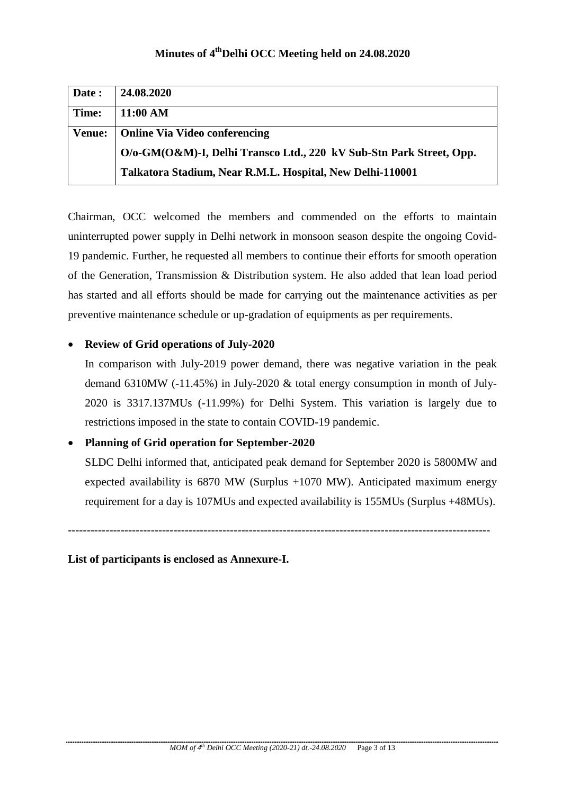| Date:         | 24.08.2020                                                          |
|---------------|---------------------------------------------------------------------|
| Time:         | 11:00 AM                                                            |
| <b>Venue:</b> | <b>Online Via Video conferencing</b>                                |
|               | O/o-GM(O&M)-I, Delhi Transco Ltd., 220 kV Sub-Stn Park Street, Opp. |
|               | Talkatora Stadium, Near R.M.L. Hospital, New Delhi-110001           |

Chairman, OCC welcomed the members and commended on the efforts to maintain uninterrupted power supply in Delhi network in monsoon season despite the ongoing Covid-19 pandemic. Further, he requested all members to continue their efforts for smooth operation of the Generation, Transmission & Distribution system. He also added that lean load period has started and all efforts should be made for carrying out the maintenance activities as per preventive maintenance schedule or up-gradation of equipments as per requirements.

#### • **Review of Grid operations of July-2020**

In comparison with July-2019 power demand, there was negative variation in the peak demand 6310MW (-11.45%) in July-2020 & total energy consumption in month of July-2020 is 3317.137MUs (-11.99%) for Delhi System. This variation is largely due to restrictions imposed in the state to contain COVID-19 pandemic.

#### • **Planning of Grid operation for September-2020**

SLDC Delhi informed that, anticipated peak demand for September 2020 is 5800MW and expected availability is 6870 MW (Surplus +1070 MW). Anticipated maximum energy requirement for a day is 107MUs and expected availability is 155MUs (Surplus +48MUs).

----------------------------------------------------------------------------------------------------------------

**List of participants is enclosed as Annexure-I.**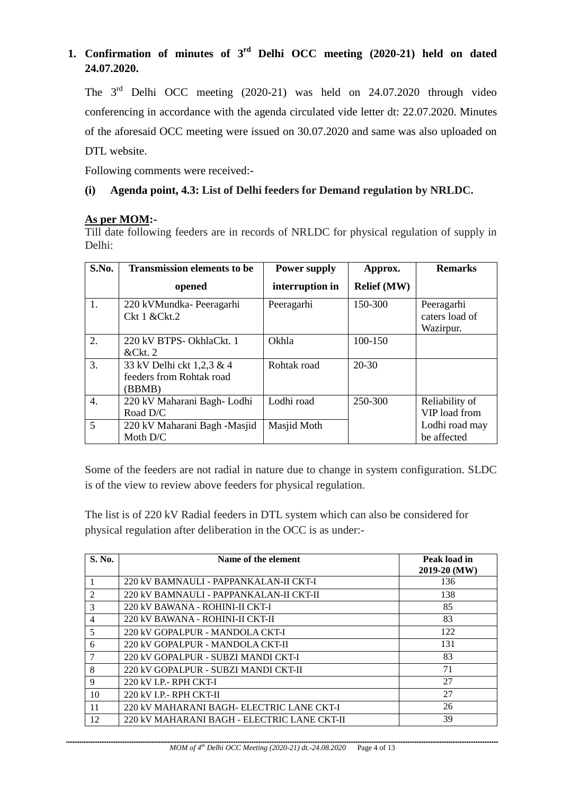### **1. Confirmation of minutes of 3rd Delhi OCC meeting (2020-21) held on dated 24.07.2020.**

The 3rd Delhi OCC meeting (2020-21) was held on 24.07.2020 through video conferencing in accordance with the agenda circulated vide letter dt: 22.07.2020. Minutes of the aforesaid OCC meeting were issued on 30.07.2020 and same was also uploaded on DTL website.

Following comments were received:-

#### **(i) Agenda point, 4.3: List of Delhi feeders for Demand regulation by NRLDC.**

#### **As per MOM:-**

Till date following feeders are in records of NRLDC for physical regulation of supply in Delhi:

| S.No.            | <b>Transmission elements to be</b>                              | <b>Power supply</b> | Approx.            | <b>Remarks</b>                            |
|------------------|-----------------------------------------------------------------|---------------------|--------------------|-------------------------------------------|
|                  | opened                                                          | interruption in     | <b>Relief</b> (MW) |                                           |
| 1.               | 220 kVMundka-Peeragarhi<br>Ckt 1 & Ckt.2                        | Peeragarhi          | 150-300            | Peeragarhi<br>caters load of<br>Wazirpur. |
| $\overline{2}$ . | 220 kV BTPS- OkhlaCkt. 1<br>&Ckt.2                              | Okhla               | 100-150            |                                           |
| 3.               | 33 kV Delhi ckt 1,2,3 & 4<br>feeders from Rohtak road<br>(BBMB) | Rohtak road         | $20 - 30$          |                                           |
| 4.               | 220 kV Maharani Bagh-Lodhi<br>Road D/C                          | Lodhi road          | 250-300            | Reliability of<br>VIP load from           |
| 5                | 220 kV Maharani Bagh -Masjid<br>Moth $D/C$                      | Masjid Moth         |                    | Lodhi road may<br>be affected             |

Some of the feeders are not radial in nature due to change in system configuration. SLDC is of the view to review above feeders for physical regulation.

The list is of 220 kV Radial feeders in DTL system which can also be considered for physical regulation after deliberation in the OCC is as under:-

| S. No. | Name of the element                         | Peak load in<br>2019-20 (MW) |
|--------|---------------------------------------------|------------------------------|
|        | 220 kV BAMNAULI - PAPPANKALAN-II CKT-I      | 136                          |
| 2      | 220 kV BAMNAULI - PAPPANKALAN-II CKT-II     | 138                          |
| 3      | 220 kV BAWANA - ROHINI-II CKT-I             | 85                           |
| 4      | 220 kV BAWANA - ROHINI-II CKT-II            | 83                           |
| 5      | 220 kV GOPALPUR - MANDOLA CKT-I             | 122                          |
| 6      | 220 kV GOPALPUR - MANDOLA CKT-II            | 131                          |
|        | 220 kV GOPALPUR - SUBZI MANDI CKT-I         | 83                           |
| 8      | 220 kV GOPALPUR - SUBZI MANDI CKT-II        | 71                           |
| 9      | 220 kV I.P.- RPH CKT-I                      | 27                           |
| 10     | 220 kV I.P.- RPH CKT-II                     | 27                           |
| 11     | 220 kV MAHARANI BAGH- ELECTRIC LANE CKT-I   | 26                           |
| 12     | 220 kV MAHARANI BAGH - ELECTRIC LANE CKT-II | 39                           |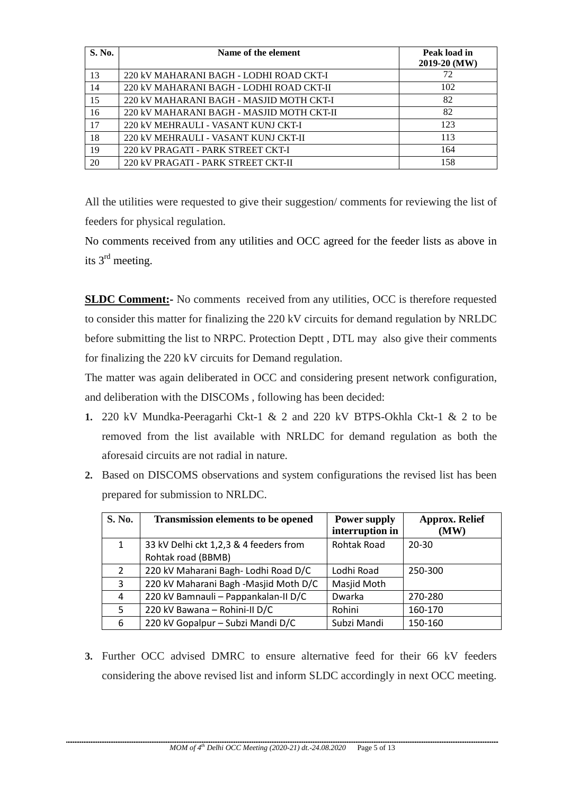| S. No. | Name of the element                       | Peak load in<br>$2019-20$ (MW) |
|--------|-------------------------------------------|--------------------------------|
| 13     | 220 kV MAHARANI BAGH - LODHI ROAD CKT-I   | 72                             |
| 14     | 220 kV MAHARANI BAGH - LODHI ROAD CKT-II  | 102                            |
| 15     | 220 kV MAHARANI BAGH - MASJID MOTH CKT-I  | 82                             |
| 16     | 220 kV MAHARANI BAGH - MASJID MOTH CKT-II | 82                             |
| 17     | 220 kV MEHRAULI - VASANT KUNJ CKT-I       | 123                            |
| 18     | 220 kV MEHRAULI - VASANT KUNJ CKT-II      | 113                            |
| 19     | 220 kV PRAGATI - PARK STREET CKT-I        | 164                            |
| 20     | 220 kV PRAGATI - PARK STREET CKT-II       | 158                            |

All the utilities were requested to give their suggestion/ comments for reviewing the list of feeders for physical regulation.

No comments received from any utilities and OCC agreed for the feeder lists as above in its 3rd meeting.

**SLDC Comment:** No comments received from any utilities, OCC is therefore requested to consider this matter for finalizing the 220 kV circuits for demand regulation by NRLDC before submitting the list to NRPC. Protection Deptt , DTL may also give their comments for finalizing the 220 kV circuits for Demand regulation.

The matter was again deliberated in OCC and considering present network configuration, and deliberation with the DISCOMs , following has been decided:

- **1.** 220 kV Mundka-Peeragarhi Ckt-1 & 2 and 220 kV BTPS-Okhla Ckt-1 & 2 to be removed from the list available with NRLDC for demand regulation as both the aforesaid circuits are not radial in nature.
- **2.** Based on DISCOMS observations and system configurations the revised list has been prepared for submission to NRLDC.

| <b>S. No.</b>  | <b>Transmission elements to be opened</b> | <b>Power supply</b><br>interruption in | <b>Approx. Relief</b><br>(MW) |
|----------------|-------------------------------------------|----------------------------------------|-------------------------------|
| $\mathbf{1}$   | 33 kV Delhi ckt 1,2,3 & 4 feeders from    | <b>Rohtak Road</b>                     | $20 - 30$                     |
|                | Rohtak road (BBMB)                        |                                        |                               |
| $\overline{2}$ | 220 kV Maharani Bagh- Lodhi Road D/C      | Lodhi Road                             | 250-300                       |
| 3              | 220 kV Maharani Bagh -Masjid Moth D/C     | Masjid Moth                            |                               |
| 4              | 220 kV Bamnauli - Pappankalan-II D/C      | Dwarka                                 | 270-280                       |
| 5              | 220 kV Bawana - Rohini-II D/C             | Rohini                                 | 160-170                       |
| 6              | 220 kV Gopalpur - Subzi Mandi D/C         | Subzi Mandi                            | 150-160                       |

**3.** Further OCC advised DMRC to ensure alternative feed for their 66 kV feeders considering the above revised list and inform SLDC accordingly in next OCC meeting.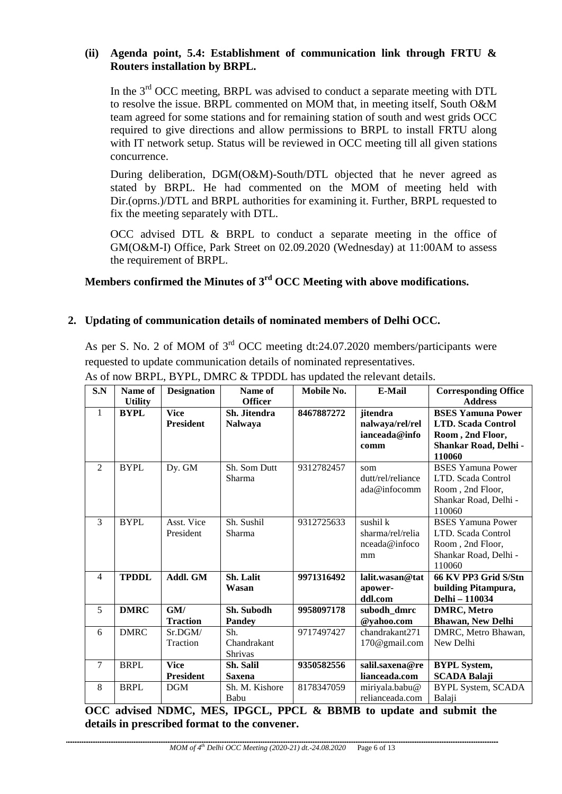#### **(ii) Agenda point, 5.4: Establishment of communication link through FRTU & Routers installation by BRPL.**

In the  $3<sup>rd</sup>$  OCC meeting, BRPL was advised to conduct a separate meeting with DTL to resolve the issue. BRPL commented on MOM that, in meeting itself, South O&M team agreed for some stations and for remaining station of south and west grids OCC required to give directions and allow permissions to BRPL to install FRTU along with IT network setup. Status will be reviewed in OCC meeting till all given stations concurrence.

During deliberation, DGM(O&M)-South/DTL objected that he never agreed as stated by BRPL. He had commented on the MOM of meeting held with Dir.(oprns.)/DTL and BRPL authorities for examining it. Further, BRPL requested to fix the meeting separately with DTL.

OCC advised DTL & BRPL to conduct a separate meeting in the office of GM(O&M-I) Office, Park Street on 02.09.2020 (Wednesday) at 11:00AM to assess the requirement of BRPL.

**Members confirmed the Minutes of 3rd OCC Meeting with above modifications.**

#### **2. Updating of communication details of nominated members of Delhi OCC.**

As per S. No. 2 of MOM of  $3<sup>rd</sup>$  OCC meeting dt:24.07.2020 members/participants were requested to update communication details of nominated representatives.

| S.N            | Name of        | <b>Designation</b> | Name of        | Mobile No. | <b>E-Mail</b>     | <b>Corresponding Office</b> |
|----------------|----------------|--------------------|----------------|------------|-------------------|-----------------------------|
|                | <b>Utility</b> |                    | <b>Officer</b> |            |                   | <b>Address</b>              |
| $\mathbf{1}$   | <b>BYPL</b>    | <b>Vice</b>        | Sh. Jitendra   | 8467887272 | jitendra          | <b>BSES Yamuna Power</b>    |
|                |                | <b>President</b>   | <b>Nalwaya</b> |            | nalwaya/rel/rel   | <b>LTD. Scada Control</b>   |
|                |                |                    |                |            | ianceada@info     | Room, 2nd Floor,            |
|                |                |                    |                |            | comm              | Shankar Road, Delhi -       |
|                |                |                    |                |            |                   | 110060                      |
| $\overline{2}$ | <b>BYPL</b>    | Dy. GM             | Sh. Som Dutt   | 9312782457 | som               | <b>BSES Yamuna Power</b>    |
|                |                |                    | Sharma         |            | dutt/rel/reliance | LTD. Scada Control          |
|                |                |                    |                |            | ada@infocomm      | Room, 2nd Floor,            |
|                |                |                    |                |            |                   | Shankar Road, Delhi -       |
|                |                |                    |                |            |                   | 110060                      |
| $\overline{3}$ | <b>BYPL</b>    | Asst. Vice         | Sh. Sushil     | 9312725633 | sushil k          | <b>BSES Yamuna Power</b>    |
|                |                | President          | Sharma         |            | sharma/rel/relia  | LTD. Scada Control          |
|                |                |                    |                |            | nceada@infoco     | Room, 2nd Floor,            |
|                |                |                    |                |            | mm                | Shankar Road, Delhi -       |
|                |                |                    |                |            |                   | 110060                      |
| $\overline{4}$ | <b>TPDDL</b>   | Addl. GM           | Sh. Lalit      | 9971316492 | lalit.wasan@tat   | 66 KV PP3 Grid S/Stn        |
|                |                |                    | Wasan          |            | apower-           | building Pitampura,         |
|                |                |                    |                |            | ddl.com           | Delhi - 110034              |
| 5              | <b>DMRC</b>    | GM/                | Sh. Subodh     | 9958097178 | subodh dmrc       | <b>DMRC, Metro</b>          |
|                |                | <b>Traction</b>    | <b>Pandey</b>  |            | @yahoo.com        | <b>Bhawan, New Delhi</b>    |
| 6              | <b>DMRC</b>    | Sr.DGM/            | Sh.            | 9717497427 | chandrakant271    | DMRC, Metro Bhawan,         |
|                |                | Traction           | Chandrakant    |            | 170@gmail.com     | New Delhi                   |
|                |                |                    | Shrivas        |            |                   |                             |
| $\tau$         | <b>BRPL</b>    | <b>Vice</b>        | Sh. Salil      | 9350582556 | salil.saxena@re   | <b>BYPL System,</b>         |
|                |                | <b>President</b>   | <b>Saxena</b>  |            | lianceada.com     | <b>SCADA Balaji</b>         |
| 8              | <b>BRPL</b>    | <b>DGM</b>         | Sh. M. Kishore | 8178347059 | miriyala.babu@    | BYPL System, SCADA          |
|                |                |                    | Babu           |            | relianceada.com   | Balaji                      |

As of now BRPL, BYPL, DMRC & TPDDL has updated the relevant details.

**OCC advised NDMC, MES, IPGCL, PPCL & BBMB to update and submit the details in prescribed format to the convener.**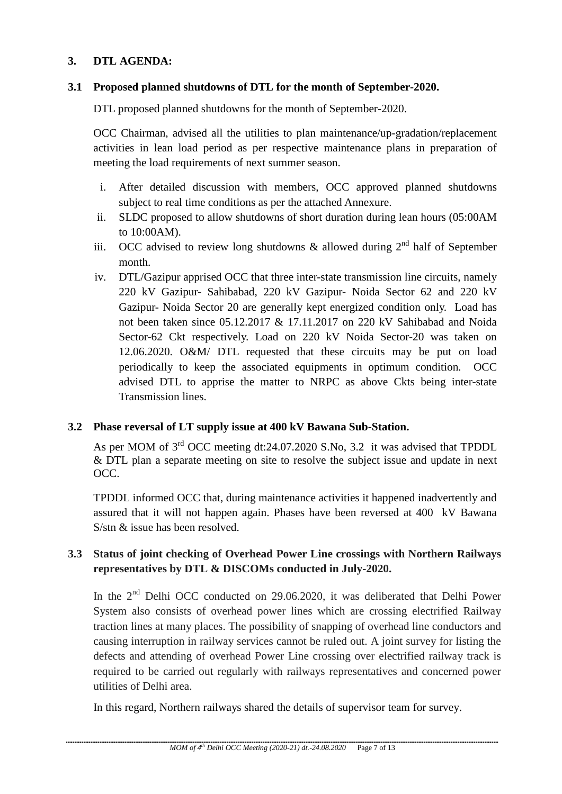#### **3. DTL AGENDA:**

#### **3.1 Proposed planned shutdowns of DTL for the month of September-2020.**

DTL proposed planned shutdowns for the month of September-2020.

OCC Chairman, advised all the utilities to plan maintenance/up-gradation/replacement activities in lean load period as per respective maintenance plans in preparation of meeting the load requirements of next summer season.

- i. After detailed discussion with members, OCC approved planned shutdowns subject to real time conditions as per the attached Annexure.
- ii. SLDC proposed to allow shutdowns of short duration during lean hours (05:00AM to 10:00AM).
- iii. OCC advised to review long shutdowns  $\&$  allowed during  $2<sup>nd</sup>$  half of September month.
- iv. DTL/Gazipur apprised OCC that three inter-state transmission line circuits, namely 220 kV Gazipur- Sahibabad, 220 kV Gazipur- Noida Sector 62 and 220 kV Gazipur- Noida Sector 20 are generally kept energized condition only. Load has not been taken since 05.12.2017 & 17.11.2017 on 220 kV Sahibabad and Noida Sector-62 Ckt respectively. Load on 220 kV Noida Sector-20 was taken on 12.06.2020. O&M/ DTL requested that these circuits may be put on load periodically to keep the associated equipments in optimum condition. OCC advised DTL to apprise the matter to NRPC as above Ckts being inter-state Transmission lines.

#### **3.2 Phase reversal of LT supply issue at 400 kV Bawana Sub-Station.**

As per MOM of 3<sup>rd</sup> OCC meeting dt:24.07.2020 S.No, 3.2 it was advised that TPDDL & DTL plan a separate meeting on site to resolve the subject issue and update in next OCC.

TPDDL informed OCC that, during maintenance activities it happened inadvertently and assured that it will not happen again. Phases have been reversed at 400 kV Bawana S/stn & issue has been resolved.

### **3.3 Status of joint checking of Overhead Power Line crossings with Northern Railways representatives by DTL & DISCOMs conducted in July-2020.**

In the 2<sup>nd</sup> Delhi OCC conducted on 29.06.2020, it was deliberated that Delhi Power System also consists of overhead power lines which are crossing electrified Railway traction lines at many places. The possibility of snapping of overhead line conductors and causing interruption in railway services cannot be ruled out. A joint survey for listing the defects and attending of overhead Power Line crossing over electrified railway track is required to be carried out regularly with railways representatives and concerned power utilities of Delhi area.

In this regard, Northern railways shared the details of supervisor team for survey.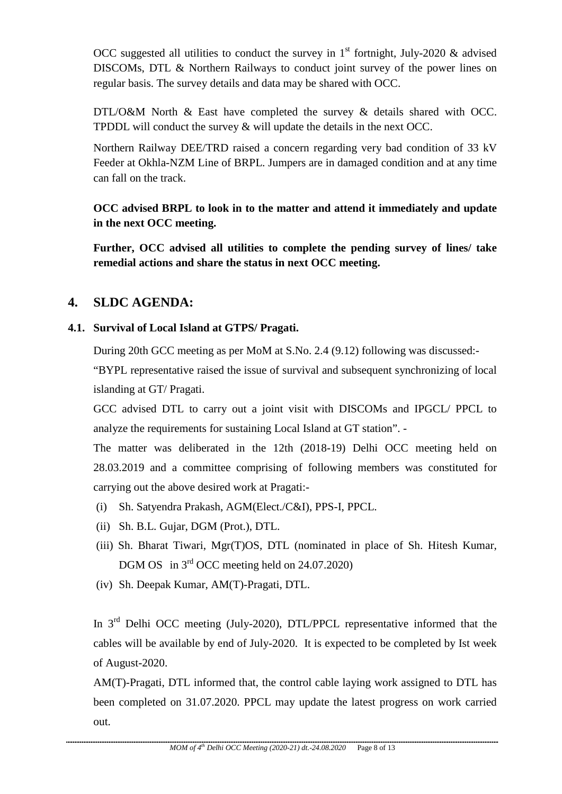OCC suggested all utilities to conduct the survey in  $1<sup>st</sup>$  fortnight, July-2020 & advised DISCOMs, DTL & Northern Railways to conduct joint survey of the power lines on regular basis. The survey details and data may be shared with OCC.

DTL/O&M North & East have completed the survey & details shared with OCC. TPDDL will conduct the survey & will update the details in the next OCC.

Northern Railway DEE/TRD raised a concern regarding very bad condition of 33 kV Feeder at Okhla-NZM Line of BRPL. Jumpers are in damaged condition and at any time can fall on the track.

**OCC advised BRPL to look in to the matter and attend it immediately and update in the next OCC meeting.** 

**Further, OCC advised all utilities to complete the pending survey of lines/ take remedial actions and share the status in next OCC meeting.**

### **4. SLDC AGENDA:**

### **4.1. Survival of Local Island at GTPS/ Pragati.**

During 20th GCC meeting as per MoM at S.No. 2.4 (9.12) following was discussed:-

"BYPL representative raised the issue of survival and subsequent synchronizing of local islanding at GT/ Pragati.

GCC advised DTL to carry out a joint visit with DISCOMs and IPGCL/ PPCL to analyze the requirements for sustaining Local Island at GT station". -

The matter was deliberated in the 12th (2018-19) Delhi OCC meeting held on 28.03.2019 and a committee comprising of following members was constituted for carrying out the above desired work at Pragati:-

- (i) Sh. Satyendra Prakash, AGM(Elect./C&I), PPS-I, PPCL.
- (ii) Sh. B.L. Gujar, DGM (Prot.), DTL.
- (iii) Sh. Bharat Tiwari, Mgr(T)OS, DTL (nominated in place of Sh. Hitesh Kumar, DGM OS in 3<sup>rd</sup> OCC meeting held on 24.07.2020)
- (iv) Sh. Deepak Kumar, AM(T)-Pragati, DTL.

In 3rd Delhi OCC meeting (July-2020), DTL/PPCL representative informed that the cables will be available by end of July-2020. It is expected to be completed by Ist week of August-2020.

AM(T)-Pragati, DTL informed that, the control cable laying work assigned to DTL has been completed on 31.07.2020. PPCL may update the latest progress on work carried out.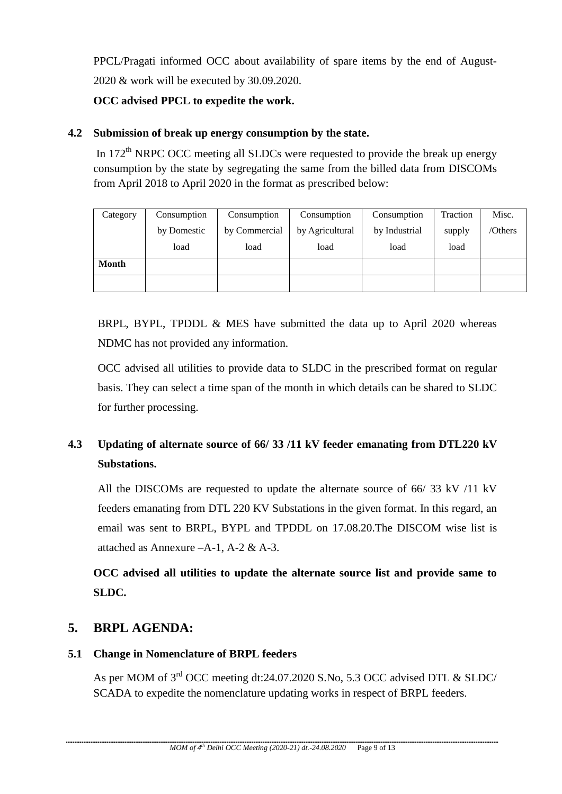PPCL/Pragati informed OCC about availability of spare items by the end of August-2020 & work will be executed by 30.09.2020.

**OCC advised PPCL to expedite the work.** 

### **4.2 Submission of break up energy consumption by the state.**

In  $172<sup>th</sup>$  NRPC OCC meeting all SLDCs were requested to provide the break up energy consumption by the state by segregating the same from the billed data from DISCOMs from April 2018 to April 2020 in the format as prescribed below:

| Category | Consumption | Consumption   | Consumption     | Consumption   | Traction | Misc.   |
|----------|-------------|---------------|-----------------|---------------|----------|---------|
|          | by Domestic | by Commercial | by Agricultural | by Industrial | supply   | /Others |
|          | load        | load          | load            | load          | load     |         |
| Month    |             |               |                 |               |          |         |
|          |             |               |                 |               |          |         |

BRPL, BYPL, TPDDL & MES have submitted the data up to April 2020 whereas NDMC has not provided any information.

OCC advised all utilities to provide data to SLDC in the prescribed format on regular basis. They can select a time span of the month in which details can be shared to SLDC for further processing.

# **4.3 Updating of alternate source of 66/ 33 /11 kV feeder emanating from DTL220 kV Substations.**

All the DISCOMs are requested to update the alternate source of 66/ 33 kV /11 kV feeders emanating from DTL 220 KV Substations in the given format. In this regard, an email was sent to BRPL, BYPL and TPDDL on 17.08.20.The DISCOM wise list is attached as Annexure –A-1, A-2 & A-3.

**OCC advised all utilities to update the alternate source list and provide same to SLDC.**

### **5. BRPL AGENDA:**

### **5.1 Change in Nomenclature of BRPL feeders**

As per MOM of 3rd OCC meeting dt:24.07.2020 S.No, 5.3 OCC advised DTL & SLDC/ SCADA to expedite the nomenclature updating works in respect of BRPL feeders.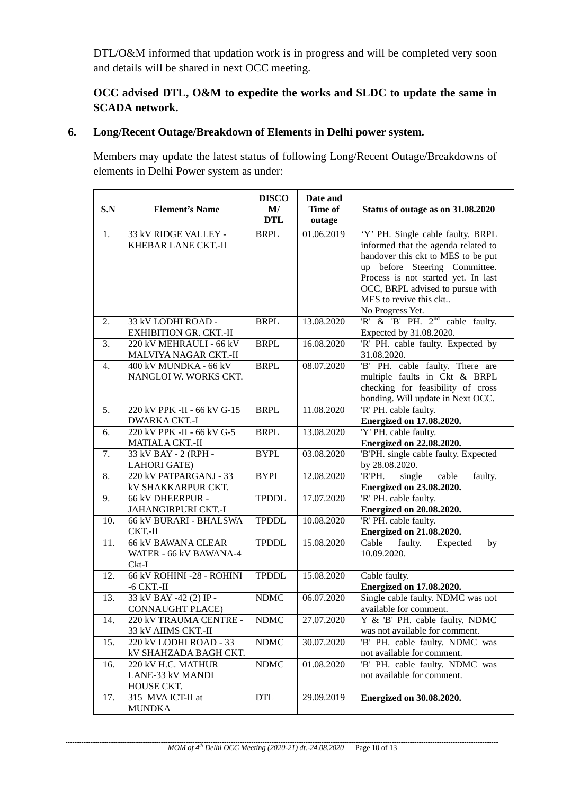DTL/O&M informed that updation work is in progress and will be completed very soon and details will be shared in next OCC meeting.

### **OCC advised DTL, O&M to expedite the works and SLDC to update the same in SCADA network.**

### **6. Long/Recent Outage/Breakdown of Elements in Delhi power system.**

Members may update the latest status of following Long/Recent Outage/Breakdowns of elements in Delhi Power system as under:

| S.N              | <b>Element's Name</b>                                          | <b>DISCO</b><br>$\mathbf{M}/$<br><b>DTL</b> | Date and<br>Time of<br>outage | Status of outage as on 31.08.2020                                                                                                                                                                                                                                        |
|------------------|----------------------------------------------------------------|---------------------------------------------|-------------------------------|--------------------------------------------------------------------------------------------------------------------------------------------------------------------------------------------------------------------------------------------------------------------------|
| 1.               | 33 kV RIDGE VALLEY -<br><b>KHEBAR LANE CKT.-II</b>             | <b>BRPL</b>                                 | 01.06.2019                    | 'Y' PH. Single cable faulty. BRPL<br>informed that the agenda related to<br>handover this ckt to MES to be put<br>up before Steering Committee.<br>Process is not started yet. In last<br>OCC, BRPL advised to pursue with<br>MES to revive this ckt<br>No Progress Yet. |
| 2.               | 33 kV LODHI ROAD -<br><b>EXHIBITION GR. CKT.-II</b>            | <b>BRPL</b>                                 | 13.08.2020                    | 'R' & 'B' PH. $2^{nd}$ cable faulty.<br>Expected by 31.08.2020.                                                                                                                                                                                                          |
| 3.               | 220 kV MEHRAULI - 66 kV<br>MALVIYA NAGAR CKT.-II               | <b>BRPL</b>                                 | 16.08.2020                    | 'R' PH. cable faulty. Expected by<br>31.08.2020.                                                                                                                                                                                                                         |
| $\overline{4}$ . | 400 kV MUNDKA - 66 kV<br>NANGLOI W. WORKS CKT.                 | <b>BRPL</b>                                 | 08.07.2020                    | 'B' PH. cable faulty. There are<br>multiple faults in Ckt & BRPL<br>checking for feasibility of cross<br>bonding. Will update in Next OCC.                                                                                                                               |
| 5.               | 220 kV PPK -II - 66 kV G-15<br>DWARKA CKT.-I                   | <b>BRPL</b>                                 | 11.08.2020                    | 'R' PH. cable faulty.<br><b>Energized on 17.08.2020.</b>                                                                                                                                                                                                                 |
| 6.               | 220 kV PPK -II - 66 kV G-5<br>MATIALA CKT.-II                  | <b>BRPL</b>                                 | 13.08.2020                    | 'Y' PH. cable faulty.<br><b>Energized on 22.08.2020.</b>                                                                                                                                                                                                                 |
| 7.               | 33 kV BAY - 2 (RPH -<br><b>LAHORI GATE)</b>                    | <b>BYPL</b>                                 | 03.08.2020                    | 'B'PH. single cable faulty. Expected<br>by 28.08.2020.                                                                                                                                                                                                                   |
| 8.               | 220 kV PATPARGANJ - 33<br><b>kV SHAKKARPUR CKT.</b>            | <b>BYPL</b>                                 | 12.08.2020                    | 'R'PH.<br>cable<br>faulty.<br>single<br><b>Energized on 23.08.2020.</b>                                                                                                                                                                                                  |
| 9.               | 66 kV DHEERPUR -<br>JAHANGIRPURI CKT.-I                        | <b>TPDDL</b>                                | 17.07.2020                    | 'R' PH. cable faulty.<br><b>Energized on 20.08.2020.</b>                                                                                                                                                                                                                 |
| 10.              | <b>66 kV BURARI - BHALSWA</b><br>$CKT.-II$                     | <b>TPDDL</b>                                | 10.08.2020                    | 'R' PH. cable faulty.<br><b>Energized on 21.08.2020.</b>                                                                                                                                                                                                                 |
| 11.              | <b>66 kV BAWANA CLEAR</b><br>WATER - 66 kV BAWANA-4<br>$Ckt-I$ | <b>TPDDL</b>                                | 15.08.2020                    | Cable<br>faulty.<br>Expected<br>by<br>10.09.2020.                                                                                                                                                                                                                        |
| 12.              | 66 kV ROHINI -28 - ROHINI<br>$-6$ CKT. $-II$                   | <b>TPDDL</b>                                | 15.08.2020                    | Cable faulty.<br><b>Energized on 17.08.2020.</b>                                                                                                                                                                                                                         |
| 13.              | 33 kV BAY -42 (2) IP -<br><b>CONNAUGHT PLACE)</b>              | <b>NDMC</b>                                 | 06.07.2020                    | Single cable faulty. NDMC was not<br>available for comment.                                                                                                                                                                                                              |
| 14.              | 220 kV TRAUMA CENTRE -<br>33 kV AIIMS CKT.-II                  | <b>NDMC</b>                                 | 27.07.2020                    | Y & 'B' PH. cable faulty. NDMC<br>was not available for comment.                                                                                                                                                                                                         |
| 15.              | 220 kV LODHI ROAD - 33<br>kV SHAHZADA BAGH CKT.                | <b>NDMC</b>                                 | 30.07.2020                    | 'B' PH. cable faulty. NDMC was<br>not available for comment.                                                                                                                                                                                                             |
| 16.              | 220 kV H.C. MATHUR<br>LANE-33 kV MANDI<br>HOUSE CKT.           | <b>NDMC</b>                                 | 01.08.2020                    | 'B' PH. cable faulty. NDMC was<br>not available for comment.                                                                                                                                                                                                             |
| 17.              | 315 MVA ICT-II at<br><b>MUNDKA</b>                             | <b>DTL</b>                                  | 29.09.2019                    | <b>Energized on 30.08.2020.</b>                                                                                                                                                                                                                                          |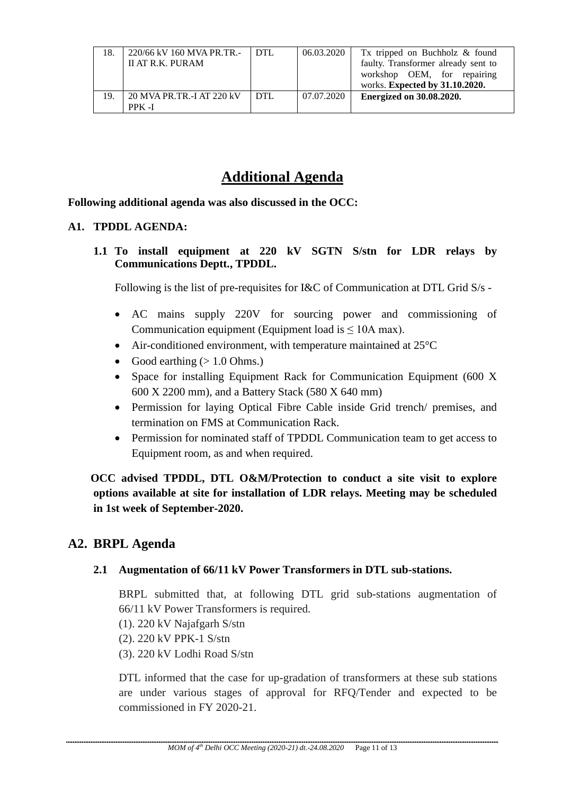| 18. | 220/66 kV 160 MVA PR.TR.-<br>II AT R.K. PURAM | I DTL | 06.03.2020 | Tx tripped on Buchholz & found<br>faulty. Transformer already sent to<br>workshop OEM, for repairing<br>works. Expected by 31.10.2020. |
|-----|-----------------------------------------------|-------|------------|----------------------------------------------------------------------------------------------------------------------------------------|
| 19. | 20 MVA PR.TR.-I AT 220 kV<br>PPK -I           | DTL   | 07.07.2020 | <b>Energized on 30.08.2020.</b>                                                                                                        |

# **Additional Agenda**

**Following additional agenda was also discussed in the OCC:** 

#### **A1. TPDDL AGENDA:**

**1.1 To install equipment at 220 kV SGTN S/stn for LDR relays by Communications Deptt., TPDDL.** 

Following is the list of pre-requisites for I&C of Communication at DTL Grid S/s -

- AC mains supply 220V for sourcing power and commissioning of Communication equipment (Equipment load is  $\leq 10A$  max).
- Air-conditioned environment, with temperature maintained at 25<sup>o</sup>C
- Good earthing  $(> 1.0 \text{ Ohms.})$
- Space for installing Equipment Rack for Communication Equipment (600 X) 600 X 2200 mm), and a Battery Stack (580 X 640 mm)
- Permission for laying Optical Fibre Cable inside Grid trench/ premises, and termination on FMS at Communication Rack.
- Permission for nominated staff of TPDDL Communication team to get access to Equipment room, as and when required.

 **OCC advised TPDDL, DTL O&M/Protection to conduct a site visit to explore options available at site for installation of LDR relays. Meeting may be scheduled in 1st week of September-2020.** 

### **A2. BRPL Agenda**

### **2.1 Augmentation of 66/11 kV Power Transformers in DTL sub-stations.**

BRPL submitted that, at following DTL grid sub-stations augmentation of 66/11 kV Power Transformers is required.

- (1). 220 kV Najafgarh S/stn
- (2). 220 kV PPK-1 S/stn
- (3). 220 kV Lodhi Road S/stn

DTL informed that the case for up-gradation of transformers at these sub stations are under various stages of approval for RFQ/Tender and expected to be commissioned in FY 2020-21.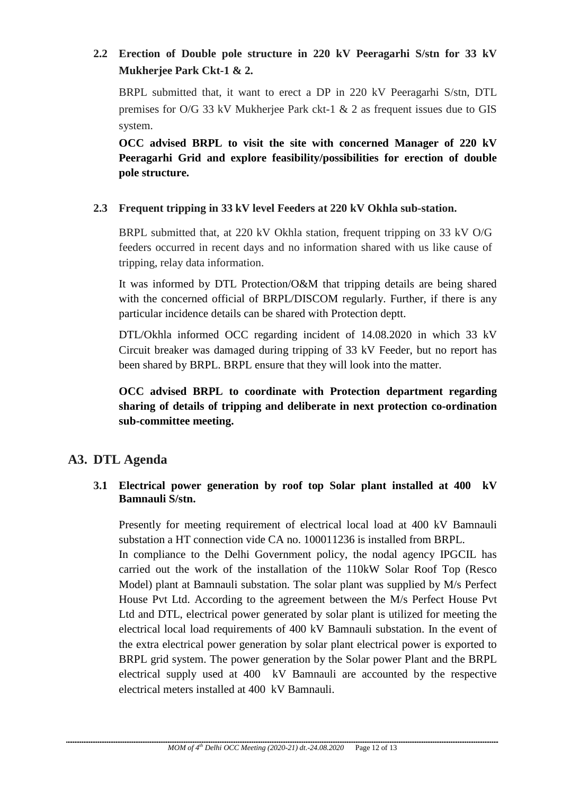### **2.2 Erection of Double pole structure in 220 kV Peeragarhi S/stn for 33 kV Mukherjee Park Ckt-1 & 2.**

BRPL submitted that, it want to erect a DP in 220 kV Peeragarhi S/stn, DTL premises for O/G 33 kV Mukherjee Park ckt-1 & 2 as frequent issues due to GIS system.

**OCC advised BRPL to visit the site with concerned Manager of 220 kV Peeragarhi Grid and explore feasibility/possibilities for erection of double pole structure.**

### **2.3 Frequent tripping in 33 kV level Feeders at 220 kV Okhla sub-station.**

BRPL submitted that, at 220 kV Okhla station, frequent tripping on 33 kV O/G feeders occurred in recent days and no information shared with us like cause of tripping, relay data information.

It was informed by DTL Protection/O&M that tripping details are being shared with the concerned official of BRPL/DISCOM regularly. Further, if there is any particular incidence details can be shared with Protection deptt.

DTL/Okhla informed OCC regarding incident of 14.08.2020 in which 33 kV Circuit breaker was damaged during tripping of 33 kV Feeder, but no report has been shared by BRPL. BRPL ensure that they will look into the matter.

### **OCC advised BRPL to coordinate with Protection department regarding sharing of details of tripping and deliberate in next protection co-ordination sub-committee meeting.**

### **A3. DTL Agenda**

### **3.1 Electrical power generation by roof top Solar plant installed at 400 kV Bamnauli S/stn.**

Presently for meeting requirement of electrical local load at 400 kV Bamnauli substation a HT connection vide CA no. 100011236 is installed from BRPL.

In compliance to the Delhi Government policy, the nodal agency IPGCIL has carried out the work of the installation of the 110kW Solar Roof Top (Resco Model) plant at Bamnauli substation. The solar plant was supplied by M/s Perfect House Pvt Ltd. According to the agreement between the M/s Perfect House Pvt Ltd and DTL, electrical power generated by solar plant is utilized for meeting the electrical local load requirements of 400 kV Bamnauli substation. In the event of the extra electrical power generation by solar plant electrical power is exported to BRPL grid system. The power generation by the Solar power Plant and the BRPL electrical supply used at 400 kV Bamnauli are accounted by the respective electrical meters installed at 400 kV Bamnauli.